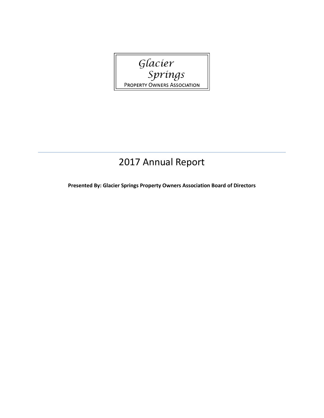Glacier<br>Springs PROPERTY OWNERS ASSOCIATION

# 2017 Annual Report

**Presented By: Glacier Springs Property Owners Association Board of Directors**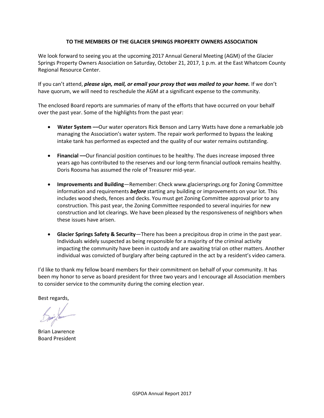# **TO THE MEMBERS OF THE GLACIER SPRINGS PROPERTY OWNERS ASSOCIATION**

We look forward to seeing you at the upcoming 2017 Annual General Meeting (AGM) of the Glacier Springs Property Owners Association on Saturday, October 21, 2017, 1 p.m. at the East Whatcom County Regional Resource Center.

If you can't attend, *please sign, mail, or email your proxy that was mailed to your home.* If we don't have quorum, we will need to reschedule the AGM at a significant expense to the community.

The enclosed Board reports are summaries of many of the efforts that have occurred on your behalf over the past year. Some of the highlights from the past year:

- • **Water System ––**Our water operators Rick Benson and Larry Watts have done a remarkable job managing the Association's water system. The repair work performed to bypass the leaking intake tank has performed as expected and the quality of our water remains outstanding.
- **Financial ––**Our financial position continues to be healthy. The dues increase imposed three years ago has contributed to the reserves and our long-term financial outlook remains healthy. Doris Roosma has assumed the role of Treasurer mid-year.
- **Improvements and Building**—Remember: Check www.glaciersprings.org for Zoning Committee information and requirements *before* starting any building or improvements on your lot. This includes wood sheds, fences and decks. You must get Zoning Committee approval prior to any construction. This past year, the Zoning Committee responded to several inquiries for new construction and lot clearings. We have been pleased by the responsiveness of neighbors when these issues have arisen.
- **Glacier Springs Safety & Security**—There has been a precipitous drop in crime in the past year. Individuals widely suspected as being responsible for a majority of the criminal activity impacting the community have been in custody and are awaiting trial on other matters. Another individual was convicted of burglary after being captured in the act by a resident's video camera.

I'd like to thank my fellow board members for their commitment on behalf of your community. It has been my honor to serve as board president for three two years and I encourage all Association members to consider service to the community during the coming election year.

Best regards,

Brian Lawrence Board President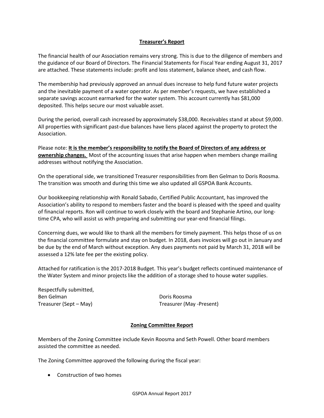# **Treasurer's Report**

The financial health of our Association remains very strong. This is due to the diligence of members and the guidance of our Board of Directors. The Financial Statements for Fiscal Year ending August 31, 2017 are attached. These statements include: profit and loss statement, balance sheet, and cash flow.

The membership had previously approved an annual dues increase to help fund future water projects and the inevitable payment of a water operator. As per member's requests, we have established a separate savings account earmarked for the water system. This account currently has \$81,000 deposited. This helps secure our most valuable asset.

During the period, overall cash increased by approximately \$38,000. Receivables stand at about \$9,000. All properties with significant past-due balances have liens placed against the property to protect the Association.

Please note: **It is the member's responsibility to notify the Board of Directors of any address or ownership changes.** Most of the accounting issues that arise happen when members change mailing addresses without notifying the Association.

On the operational side, we transitioned Treasurer responsibilities from Ben Gelman to Doris Roosma. The transition was smooth and during this time we also updated all GSPOA Bank Accounts.

Our bookkeeping relationship with Ronald Sabado, Certified Public Accountant, has improved the Association's ability to respond to members faster and the board is pleased with the speed and quality of financial reports. Ron will continue to work closely with the board and Stephanie Artino, our longtime CPA, who will assist us with preparing and submitting our year-end financial filings.

Concerning dues, we would like to thank all the members for timely payment. This helps those of us on the financial committee formulate and stay on budget. In 2018, dues invoices will go out in January and be due by the end of March without exception. Any dues payments not paid by March 31, 2018 will be assessed a 12% late fee per the existing policy.

Attached for ratification is the 2017-2018 Budget. This year's budget reflects continued maintenance of the Water System and minor projects like the addition of a storage shed to house water supplies.

Respectfully submitted, Ben Gelman **Doris Roosma** 

Treasurer (Sept – May) Treasurer (May -Present)

# **Zoning Committee Report**

Members of the Zoning Committee include Kevin Roosma and Seth Powell. Other board members assisted the committee as needed.

The Zoning Committee approved the following during the fiscal year:

• Construction of two homes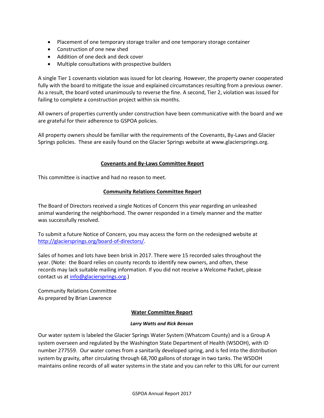- Placement of one temporary storage trailer and one temporary storage container
- Construction of one new shed
- Addition of one deck and deck cover
- Multiple consultations with prospective builders

A single Tier 1 covenants violation was issued for lot clearing. However, the property owner cooperated fully with the board to mitigate the issue and explained circumstances resulting from a previous owner. As a result, the board voted unanimously to reverse the fine. A second, Tier 2, violation was issued for failing to complete a construction project within six months.

All owners of properties currently under construction have been communicative with the board and we are grateful for their adherence to GSPOA policies.

All property owners should be familiar with the requirements of the Covenants, By-Laws and Glacier Springs policies. These are easily found on the Glacier Springs website at www.glaciersprings.org.

#### **Covenants and By-Laws Committee Report**

This committee is inactive and had no reason to meet.

#### **Community Relations Committee Report**

The Board of Directors received a single Notices of Concern this year regarding an unleashed animal wandering the neighborhood. The owner responded in a timely manner and the matter was successfully resolved.

To submit a future Notice of Concern, you may access the form on the redesigned website at [http://glaciersprings.org/board-of-directors/.](http://glaciersprings.org/board-of-directors/)

Sales of homes and lots have been brisk in 2017. There were 15 recorded sales throughout the year. (Note: the Board relies on county records to identify new owners, and often, these records may lack suitable mailing information. If you did not receive a Welcome Packet, please contact us at [info@glaciersprings.org.](mailto:info@glaciersprings.org))

Community Relations Committee As prepared by Brian Lawrence

## **Water Committee Report**

#### *Larry Watts and Rick Benson*

Our water system is labeled the Glacier Springs Water System (Whatcom County) and is a Group A system overseen and regulated by the Washington State Department of Health (WSDOH), with ID number 277559. Our water comes from a sanitarily developed spring, and is fed into the distribution system by gravity, after circulating through 68,700 gallons of storage in two tanks. The WSDOH maintains online records of all water systems in the state and you can refer to this URL for our current